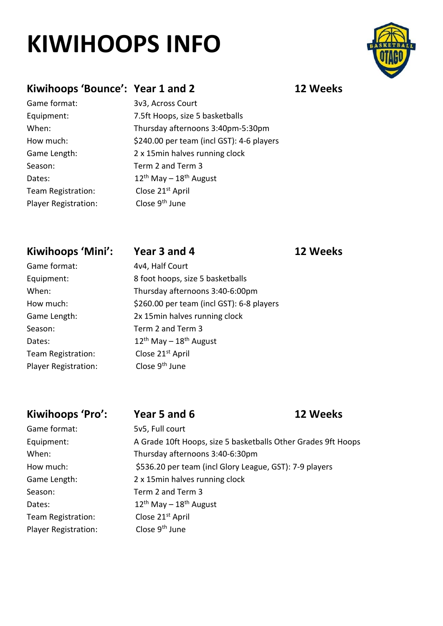# **KIWIHOOPS INFO**

### **Kiwihoops 'Bounce': Year 1 and 2 12 Weeks**

Dates:

Game format: 3v3, Across Court Equipment: 7.5ft Hoops, size 5 basketballs When: Thursday afternoons 3:40pm-5:30pm How much: \$240.00 per team (incl GST): 4-6 players Game Length: 2 x 15min halves running clock Season: Term 2 and Term 3  $12^{th}$  May –  $18^{th}$  August Team Registration: Close 21<sup>st</sup> April Player Registration: Close 9<sup>th</sup> June

### **Kiwihoops 'Mini': Year 3 and 4 12 Weeks**

Game format: 4v4, Half Court Equipment: 8 foot hoops, size 5 basketballs When: Thursday afternoons 3:40-6:00pm How much: \$260.00 per team (incl GST): 6-8 players Game Length: 2x 15min halves running clock  $12^{th}$  May –  $18^{th}$  August

**Kiwihoops 'Pro': Year 5 and 6 12 Weeks** Game format: 5v5, Full court Equipment: A Grade 10ft Hoops, size 5 basketballs Other Grades 9ft Hoops When: Thursday afternoons 3:40-6:30pm How much: \$536.20 per team (incl Glory League, GST): 7-9 players Game Length: 2 x 15min halves running clock Season: Term 2 and Term 3 Dates:  $12^{th}$  May –  $18^{th}$  August Team Registration: Close 21<sup>st</sup> April Player Registration: Close 9<sup>th</sup> June



Season: Term 2 and Term 3 Dates: Team Registration: Close 21<sup>st</sup> April Player Registration: Close 9<sup>th</sup> June